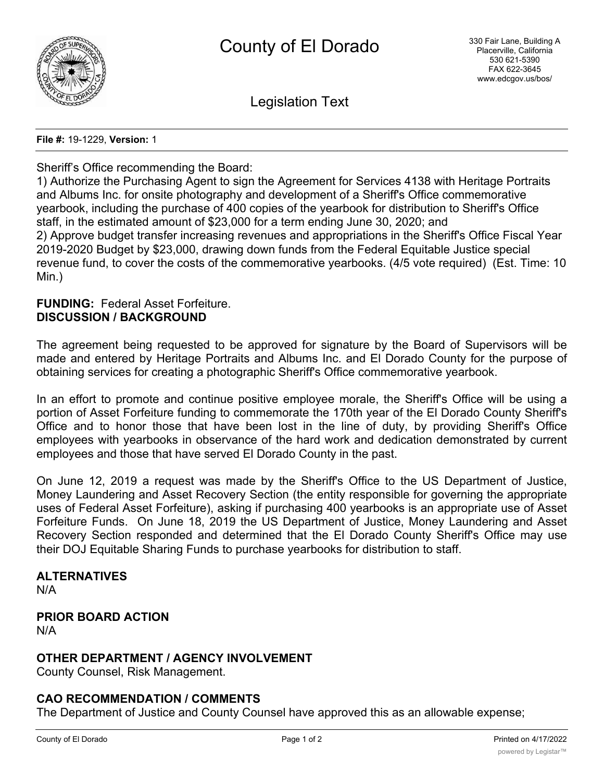

Legislation Text

**File #:** 19-1229, **Version:** 1

#### Sheriff's Office recommending the Board:

1) Authorize the Purchasing Agent to sign the Agreement for Services 4138 with Heritage Portraits and Albums Inc. for onsite photography and development of a Sheriff's Office commemorative yearbook, including the purchase of 400 copies of the yearbook for distribution to Sheriff's Office staff, in the estimated amount of \$23,000 for a term ending June 30, 2020; and 2) Approve budget transfer increasing revenues and appropriations in the Sheriff's Office Fiscal Year 2019-2020 Budget by \$23,000, drawing down funds from the Federal Equitable Justice special revenue fund, to cover the costs of the commemorative yearbooks. (4/5 vote required) (Est. Time: 10 Min.)

#### **FUNDING:** Federal Asset Forfeiture. **DISCUSSION / BACKGROUND**

The agreement being requested to be approved for signature by the Board of Supervisors will be made and entered by Heritage Portraits and Albums Inc. and El Dorado County for the purpose of obtaining services for creating a photographic Sheriff's Office commemorative yearbook.

In an effort to promote and continue positive employee morale, the Sheriff's Office will be using a portion of Asset Forfeiture funding to commemorate the 170th year of the El Dorado County Sheriff's Office and to honor those that have been lost in the line of duty, by providing Sheriff's Office employees with yearbooks in observance of the hard work and dedication demonstrated by current employees and those that have served El Dorado County in the past.

On June 12, 2019 a request was made by the Sheriff's Office to the US Department of Justice, Money Laundering and Asset Recovery Section (the entity responsible for governing the appropriate uses of Federal Asset Forfeiture), asking if purchasing 400 yearbooks is an appropriate use of Asset Forfeiture Funds. On June 18, 2019 the US Department of Justice, Money Laundering and Asset Recovery Section responded and determined that the El Dorado County Sheriff's Office may use their DOJ Equitable Sharing Funds to purchase yearbooks for distribution to staff.

# **ALTERNATIVES**

N/A

#### **PRIOR BOARD ACTION** N/A

### **OTHER DEPARTMENT / AGENCY INVOLVEMENT**

County Counsel, Risk Management.

### **CAO RECOMMENDATION / COMMENTS**

The Department of Justice and County Counsel have approved this as an allowable expense;